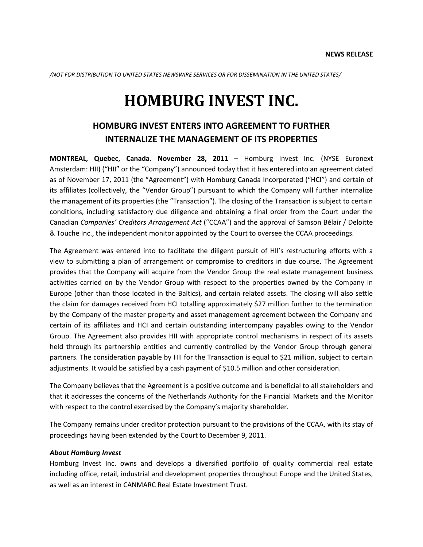*/NOT FOR DISTRIBUTION TO UNITED STATES NEWSWIRE SERVICES OR FOR DISSEMINATION IN THE UNITED STATES/*

# **HOMBURG INVEST INC.**

## **HOMBURG INVEST ENTERS INTO AGREEMENT TO FURTHER INTERNALIZE THE MANAGEMENT OF ITS PROPERTIES**

**MONTREAL, Quebec, Canada. November 28, 2011** – Homburg Invest Inc. (NYSE Euronext Amsterdam: HII) ("HII" or the "Company") announced today that it has entered into an agreement dated as of November 17, 2011 (the "Agreement") with Homburg Canada Incorporated ("HCI") and certain of its affiliates (collectively, the "Vendor Group") pursuant to which the Company will further internalize the management of its properties (the "Transaction"). The closing of the Transaction is subject to certain conditions, including satisfactory due diligence and obtaining a final order from the Court under the Canadian *Companies' Creditors Arrangement Act* ("CCAA") and the approval of Samson Bélair / Deloitte & Touche Inc., the independent monitor appointed by the Court to oversee the CCAA proceedings.

The Agreement was entered into to facilitate the diligent pursuit of HII's restructuring efforts with a view to submitting a plan of arrangement or compromise to creditors in due course. The Agreement provides that the Company will acquire from the Vendor Group the real estate management business activities carried on by the Vendor Group with respect to the properties owned by the Company in Europe (other than those located in the Baltics), and certain related assets. The closing will also settle the claim for damages received from HCI totalling approximately \$27 million further to the termination by the Company of the master property and asset management agreement between the Company and certain of its affiliates and HCI and certain outstanding intercompany payables owing to the Vendor Group. The Agreement also provides HII with appropriate control mechanisms in respect of its assets held through its partnership entities and currently controlled by the Vendor Group through general partners. The consideration payable by HII for the Transaction is equal to \$21 million, subject to certain adjustments. It would be satisfied by a cash payment of \$10.5 million and other consideration.

The Company believes that the Agreement is a positive outcome and is beneficial to all stakeholders and that it addresses the concerns of the Netherlands Authority for the Financial Markets and the Monitor with respect to the control exercised by the Company's majority shareholder.

The Company remains under creditor protection pursuant to the provisions of the CCAA, with its stay of proceedings having been extended by the Court to December 9, 2011.

### *About Homburg Invest*

Homburg Invest Inc. owns and develops a diversified portfolio of quality commercial real estate including office, retail, industrial and development properties throughout Europe and the United States, as well as an interest in CANMARC Real Estate Investment Trust.